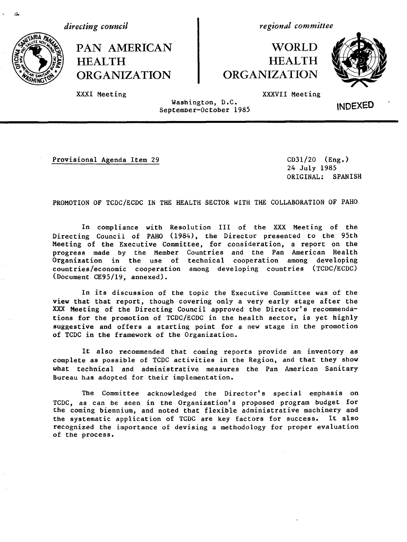*directing council*

HEALTH HEALTH ORGANIZATION CRGANIZATION

*regional committee*

# PAN AMERICAN WORLD



XXXI Meeting XXXVII Meeting

Washington, D.C. wasnington, D.C.<br>September-October 1985 **INDEXED** 

Provisional Agenda Item 29 CD31/20 (Eng.)

24 July 1985 ORIGINAL: SPANISH

PROMOTION OF TCDC/ECDC IN THE HEALTH SECTOR WITH THE COLLABORATION OF PAHO

In compliance with Resolution III of the XXX Meeting of the Directing Council of PAHO (1984), the Director presented to the 95th Meeting of the Executive Committee, for consideration, a report on the progress made by the Member Countries and the Pan American Health Organization in the use of technical cooperation among developing countries/economic cooperation among developing countries (TCDC/ECDC) (Document CE95/19, annexed).

In its discussion of the topic the Executive Committee was of the view that that report, though covering only a very early stage after the XXX Meeting of the Directing Council approved the Director's recommendations for the promotion of TCDC/ECDC in the health sector, is yet highly suggestive and offers a starting point for a new stage in the promotion of TCDC in the framework of the Organization.

It also recommended that coming reports provide an inventory as complete as possible of TCDC activities in the Region, and that they show what technical and administrative measures the Pan American Sanitary Bureau has adopted for their implementation.

The Committee acknowledged the Director's special emphasis on TCDC, as can be seen in the Organization's proposed program budget for the coming biennium, and noted that flexible administrative machinery and the systematic application of TCDC are key factors for success. It also recognized the importance of devising a methodology for proper evaluation of the process.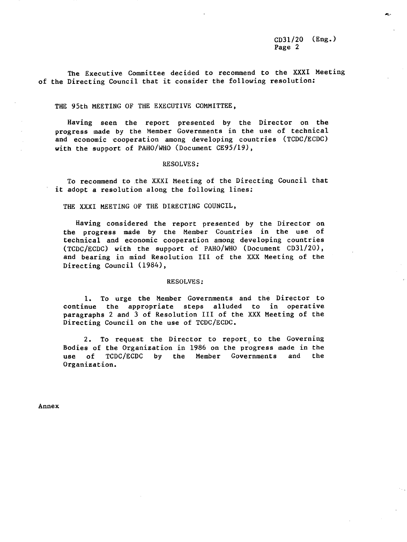The Executive Committee decided to recommend to the XXXI Meeting of the Directing Council that it consider the following resolution:

#### THE 95th MEETING OF THE EXECUTIVE COMMITTEE,

Having seen the report presented by the Director on the progress made by the Member Governments in the use of technical and economic cooperation among developing countries (TCDC/ECDC) with the support of PAHO/WHO (Document CE95/19),

#### RESOLVES:

To recommend to the XXXI Meeting of the Directing Council that it adopt a resolution along the following lines;

THE XXXI MEETING OF THE DIRECTING COUNCIL,

Having considered the report presented by the Director on the progress made by the Member Countries in the use of technical and economic cooperation among developing countries (TCDC/ECDC) with the support of PAHO/WHO (Document CD31/20), and bearing in mind Resolution III of the XXX Meeting of the Directing Council (1984),

#### RESOLVES:

1. To urge the Member Governments and the Director to continue the appropriate steps alluded to in operative paragraphs 2 and 3 of Resolution III of the XXX Meeting of the Directing Council on the use of TCDC/ECDC.

2. To request the Director to report, to the Governing Bodies of the Organization in 1986 on the progress made in the use of TCDC/ECDC by the Member Governments and the Organization.

Annex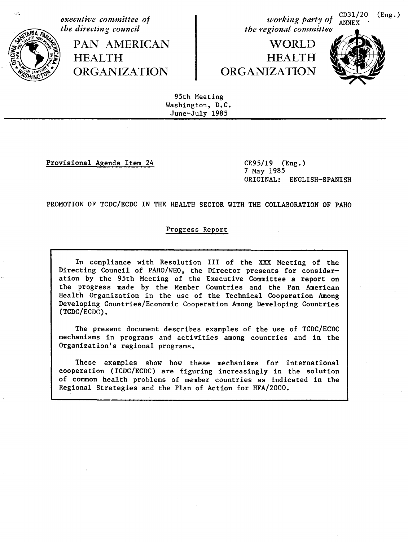

*executive committee of the directing council*

> PAN AMERICAN HEALTH **ORGANIZATION**

*working party of* CD31/20 (Eng.) *working party of* ANNEX *the regional committee*

# **WORLD** HEALTH ORGANIZATION



95th Meeting Washington, D.C. June-July 1985

Provisional Agenda Item 24 CE95/19 (Eng.)

7 May 1985 ORIGINAL: ENGLISH-SPANISH

PROMOTION OF TCDC/ECDC IN THE HEALTH SECTOR WITH THE COLLABORATION OF PAHO

# Progress Report

In compliance with Resolution III of the XXX Meeting of the Directing Council of PAHO/WHO, the Director presents for consideration by the 95th Meeting of the Executive Committee a report on the progress made by the Member Countries and the Pan American Health Organization in the use of the Technical Cooperation Among Developing Countries/Economic Cooperation Among Developing Countries (TCDC/ECDC).

The present document describes examples of the use of TCDC/ECDC mechanisms in programs and activities among countries and in the Organization's regional programs.

These examples show how these mechanisms for international cooperation (TCDC/ECDC) are figuring increasingly in the solution of common health problems of member countries as indicated in the Regional Strategies and the Plan of Action for HFA/2000.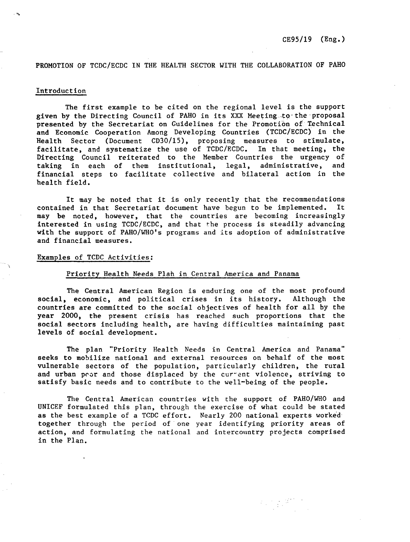# PROMOTION OF TCDC/ECDC IN THE HEALTH SECTOR WITH THE COLLABORATION OF PAHO

# Introduction

The first example to be cited on the regional level is the support given by the Directing Council of PAHO in its XXX Meeting .to the proposal presented by the Secretariat on Guidelines for the Promotion of Technical and Economic Cooperation Among Developing Countries (TCDC/ECDC) in the Health Sector (Document CD30/15), proposing measures to stimulate, facilitate, and systematize the use of TCDC/ECDC. In that meeting, the Directing Council reiterated to the Member Countries the urgency of taking in each of them institutional, legal, administrative, and financial steps to facilitate collective and bilateral action in the health field.

It may be noted that it is only recently that the recommendations contained in that Secretariat document have begun to be implemented. It may be noted, however, that the countries are becoming increasingly interested in using TCDC/ECDC, and that the process is steadily advancing with the support of PAHO/WHO's programs and its adoption of administrative and financial measures.

# Examples of TCDC Activities:

# Priority Health Needs Plah in Central America and Panama

The Central American Region is enduring one of the most profound social, economic, and political crises in its history. Although the countries are committed to the social objectives of health for all by the year 2000, the present crisis has reached such proportions that the social sectors including health, are having difficulties maintaining past levels of social development.

The plan "Priority Health Needs in Central America and Panama" seeks to mobilize national and external resources on behalf of the most vulnerable sectors of the population, particularly children, the rural and urban poor and those displaced by the current violence, striving to satisfy basic needs and to contribute to the well-being of the people.

The Central American countries with the support of PAHO/WHO and UNICEF formulated this plan, through the exercise of what could be stated as the best example of a TCDC effort. Nearly 200 national experts worked together through the period of one year identifying priority areas of action, and formulating the national and intercountry projects comprised in the Plan.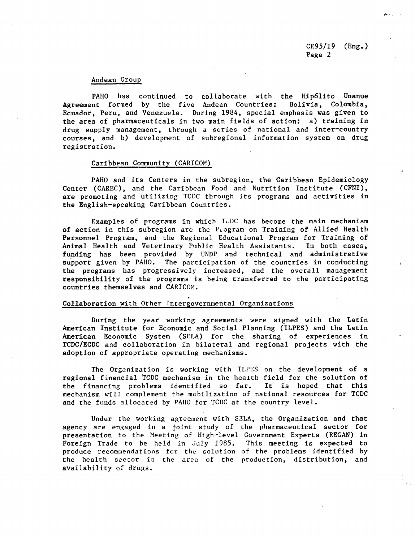# Andean Group

PAHO has continued to collaborate with the Hip6lito Unanue Agreement formed by the five Andean Countries: Bolivia, Colombia, Ecuador, Peru, and Venezuela. During 1984, special emphasis was given to the area of pharmaceuticals in two main fields of action: a) training in drug supply management, through a series of national and inter-country courses, and b) development of subregional information system on drug registration.

# Caribbean Community (CARICOM)

PAHO and its Centers in the subregion, the Caribbean Epidemiology Center (CAREC), and the Caribbean Food and Nutrition Institute (CFNI), are promoting and utilizing TCDC through its programs and activities in the English-speaking Caribbean Countries.

Examples of programs in which  $T\cup DC$  has become the main mechanism of action in this subregion are the PLogram on Training of Allied Health Personnel Program, and the Regional Educational Program for Training of Animal Health and Veterinary Public Health Assistants. In both cases, funding has been provided by UNDP and technical and administrative support given by PAHO. The participation of the countries in conducting the programs has progressively increased, and the overall management responsibility of the programs is being transferred to the participating countries themselves and CARICOM.

# Collaboration with Other Intergovernmental Organizations

During the year working agreements were signed with the Latin American Institute for Economic and Social Planning (ILPES) and the Latin American Economic System (SELA) for the sharing of experiences in TCDC/ECDC and collaboration in bilateral and regional projects with the adoption of appropriate operating mechanisms.

The Organization is working with ILPES on the development of a regional financial TCDC mechanism in the health field for the solution of the financing problems identified so far. It is hoped that this mechanism will complement the mobilization of national resources for TCDC and the funds allocated by PAHO for TCDC at the country level.

Under the working agreement with SELA, the Organization and that agency are engaged in a joint study of the pharmaceutical sector for presentation to the Meeting of High-level Government Experts (REGAN) in Foreign Trade to be held in July 1985. This meeting is expected to produce recommendations for the solution of the problems identified by the health sector in the area of the production, distribution, and availability of drugs.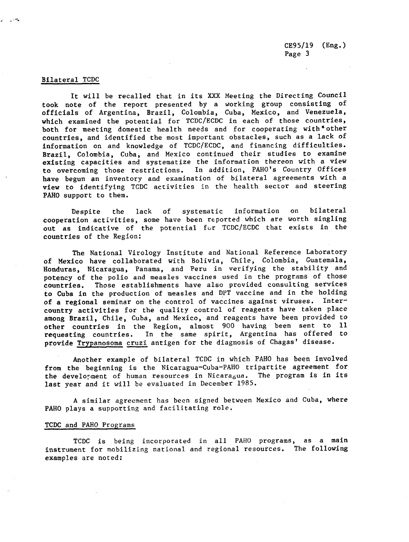# Bilateral TCDC

It will be recalled that in its XXX Meeting the Directing Council took note of the report presented by a working group consisting of officials of Argentina, Brazil, Colombia, Cuba, Mexico, and Venezuela, which examined the potential for TCDC/ECDC in each of those countries, both for meeting domestic health needs and for cooperating with \*other countries, and identified the most important obstacles, such as a lack of information on and knowledge of TCDC/ECDC, and financing difficulties. Brazil, Colombia, Cuba, and Mexico continued their studies to examine existing capacities and systematize the information thereon with a view to overcoming those restrictions. In addition, PAHO's Country Offices have begun an inventory and examination of bilateral agreements with a view to identifying TCDC activities in the health sector and steering PAHO support to them.

Despite the lack of systematic information on bilateral cooperation activities, some have been reported which are worth singling out as indicative of the potential fur TCDC/ECDC that exists in the countries of the Region:

The National Virology Institute and National Reference Laboratory of Mexico have collaborated with Bolivia, Chile, Colombia, Guatemala, Honduras, Nicaragua, Panama, and Peru in verifying the stability and potency of the polio and measles vaccines used in the programs of those countries. Those establishments have also provided consulting services **to Cuba in** the production of measles and DPT vaccine and in the holding **of a** regional seminar on the control of vaccines against viruses. Inter**country activities** for the quality control of reagents have taken place **among Brazil,** Chile, Cuba, and Mexico, and reagents have been provided to other countries in the Region, almost 900 having been sent to 11 requesting countries. In the same spirit, Argentina has offered to In the same spirit, Argentina has offered to provide Trypanosoma cruzi antigen for the diagnosis of Chagas' disease.

Another example of bilateral TCDC in which PAHO has been involved from the beginning is the Nicaragua-Cuba-PAHO tripartite agreement for the development of human resources in Nicaragua. The program is in its last year and it will be evaluated in December 1985.

A similar agreement has been signed between Mexico and Cuba, where PAHO plays a supporting and facilitating role.

# TCDC and PAHO Programs

TCDC is being incorporated in all PAHO programs, as a main instrument for mobilizing national and regional resources. The following examples are noted: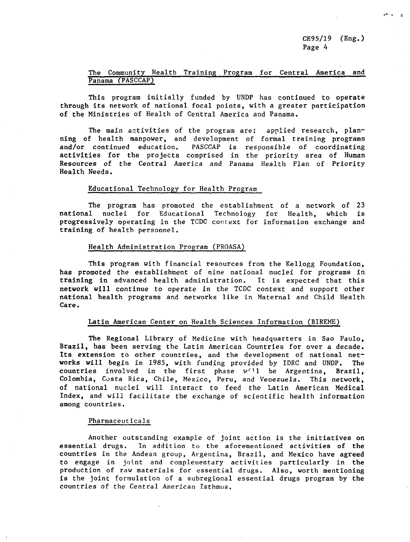CE95/19 (Eng.) Page 4

# The Community Health Training Program for Central America and Panama (PASCCAP)

This program initially funded by UNDP has continued to operate through its network of national focal points, with a greater participation of the Ministries of Health of Central America and Panama.

The main activities of the program are: applied research, planning of health manpower, and development of formal training programs and/or continued education. PASCCAP is responsible of coordinating activities for the projects comprised in the priority area of Human Resources of the Central America and Panama Health Plan of Priority Health Needs.

# Educational Technology for Health Program

The program has promoted the establishment of a network of 23 national nuclei for Educational Technology for Health, which is progressively operating in the TCDC context for information exchange and training of health personnel.

#### Health Administration Program (PROASA)

This program with financial resources from the Kellogg Foundation, has promoted the establishment of nine national nuclei for programs in training in advanced health administration. It is expected that this network will continue to operate in the TCDC context and support other national health programs and networks like in Maternal and Child Health Care.

# Latin American Center on Health Sciences Information (BIREME)

The Regional Library of Medicine with headquarters in Sao Paulo, Brazil, has been serving the Latin American Countries for over a decade. Its extension to other countries, and the development of national networks will begin in 1985, with funding provided by IDRC and UNDP. The countries involved in the first phase w'11 be Argentina, Brazil, Colombia, Costa Rica, Chile, Mexico, Peru, and Venezuela. This network, of national nuclei will interact to feed the Latin American Medical Index, and will facilitate the exchange of scientific health information among countries.

#### Pharmaceuticals

Another outstanding example of joint action is the initiatives on essential drugs. In addition to the aforementioned activities of the countries in the Andean group, Argentina, Brazil, and Mexico have agreed to engage in joint and complementary activities particularly in the production of raw materials for essential drugs. Also, worth mentioning is the joint formulation of a subregional essential drugs program by the countries of the Central American Isthmus.